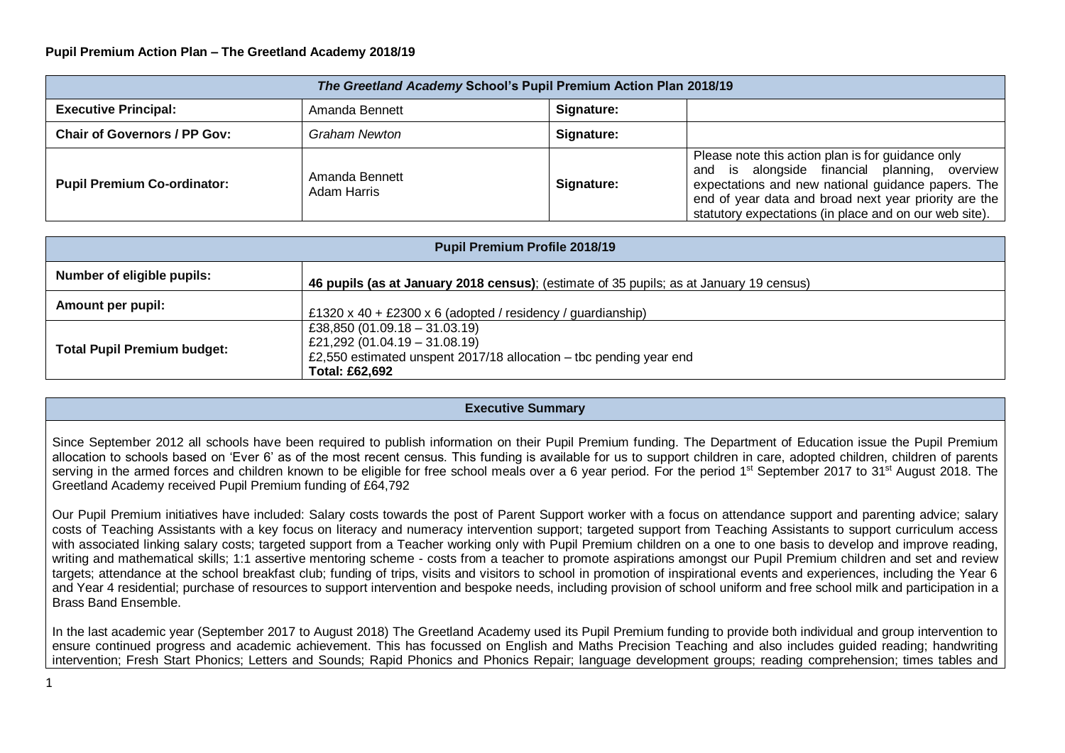## **Pupil Premium Action Plan – The Greetland Academy 2018/19**

| The Greetland Academy School's Pupil Premium Action Plan 2018/19 |                                      |            |                                                                                                                                                                                                                                                                             |  |  |  |
|------------------------------------------------------------------|--------------------------------------|------------|-----------------------------------------------------------------------------------------------------------------------------------------------------------------------------------------------------------------------------------------------------------------------------|--|--|--|
| <b>Executive Principal:</b>                                      | Amanda Bennett                       | Signature: |                                                                                                                                                                                                                                                                             |  |  |  |
| <b>Chair of Governors / PP Gov:</b>                              | Graham Newton                        | Signature: |                                                                                                                                                                                                                                                                             |  |  |  |
| <b>Pupil Premium Co-ordinator:</b>                               | Amanda Bennett<br><b>Adam Harris</b> | Signature: | Please note this action plan is for guidance only<br>and is alongside financial planning, overview<br>expectations and new national guidance papers. The<br>end of year data and broad next year priority are the<br>statutory expectations (in place and on our web site). |  |  |  |

| <b>Pupil Premium Profile 2018/19</b> |                                                                                                                                                        |  |  |  |  |
|--------------------------------------|--------------------------------------------------------------------------------------------------------------------------------------------------------|--|--|--|--|
| Number of eligible pupils:           | 46 pupils (as at January 2018 census); (estimate of 35 pupils; as at January 19 census)                                                                |  |  |  |  |
| Amount per pupil:                    | £1320 x 40 + £2300 x 6 (adopted / residency / guardianship)                                                                                            |  |  |  |  |
| <b>Total Pupil Premium budget:</b>   | £38,850 (01.09.18 - 31.03.19)<br>£21,292 (01.04.19 - 31.08.19)<br>£2,550 estimated unspent 2017/18 allocation – tbc pending year end<br>Total: £62,692 |  |  |  |  |

## **Executive Summary**

Since September 2012 all schools have been required to publish information on their Pupil Premium funding. The Department of Education issue the Pupil Premium allocation to schools based on 'Ever 6' as of the most recent census. This funding is available for us to support children in care, adopted children, children of parents serving in the armed forces and children known to be eligible for free school meals over a 6 year period. For the period 1<sup>st</sup> September 2017 to 31<sup>st</sup> August 2018. The Greetland Academy received Pupil Premium funding of £64,792

Our Pupil Premium initiatives have included: Salary costs towards the post of Parent Support worker with a focus on attendance support and parenting advice; salary costs of Teaching Assistants with a key focus on literacy and numeracy intervention support; targeted support from Teaching Assistants to support curriculum access with associated linking salary costs; targeted support from a Teacher working only with Pupil Premium children on a one to one basis to develop and improve reading, writing and mathematical skills; 1:1 assertive mentoring scheme - costs from a teacher to promote aspirations amongst our Pupil Premium children and set and review targets; attendance at the school breakfast club; funding of trips, visits and visitors to school in promotion of inspirational events and experiences, including the Year 6 and Year 4 residential; purchase of resources to support intervention and bespoke needs, including provision of school uniform and free school milk and participation in a Brass Band Ensemble.

In the last academic year (September 2017 to August 2018) The Greetland Academy used its Pupil Premium funding to provide both individual and group intervention to ensure continued progress and academic achievement. This has focussed on English and Maths Precision Teaching and also includes guided reading; handwriting intervention; Fresh Start Phonics; Letters and Sounds; Rapid Phonics and Phonics Repair; language development groups; reading comprehension; times tables and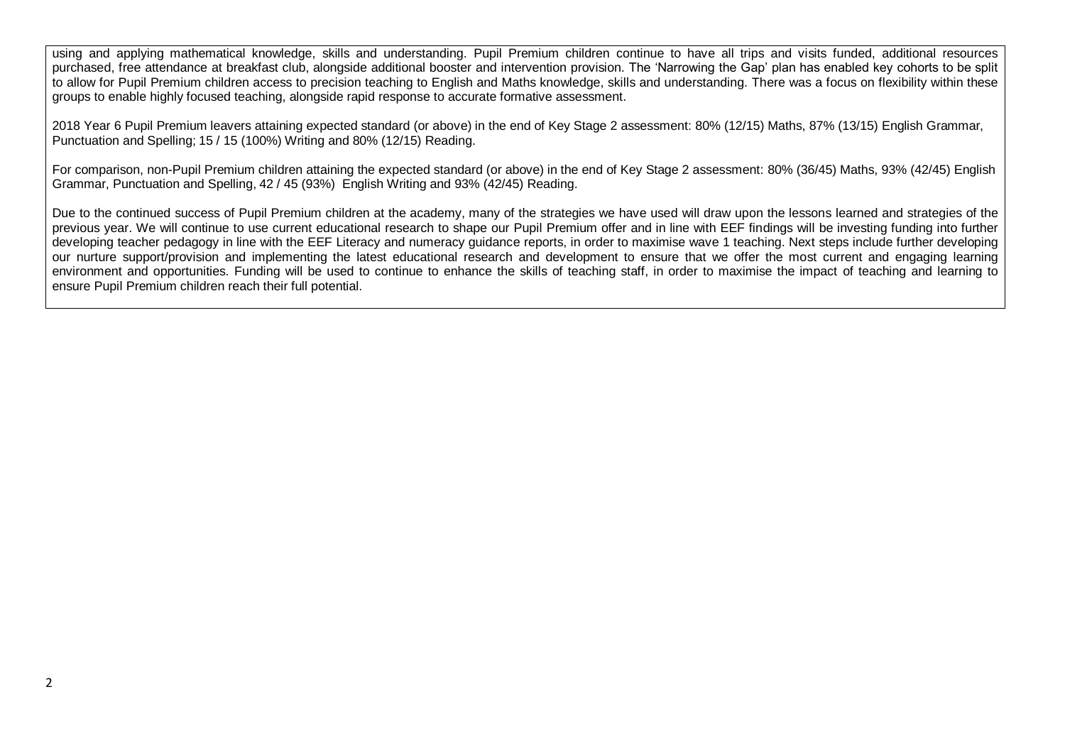using and applying mathematical knowledge, skills and understanding. Pupil Premium children continue to have all trips and visits funded, additional resources purchased, free attendance at breakfast club, alongside additional booster and intervention provision. The 'Narrowing the Gap' plan has enabled key cohorts to be split to allow for Pupil Premium children access to precision teaching to English and Maths knowledge, skills and understanding. There was a focus on flexibility within these groups to enable highly focused teaching, alongside rapid response to accurate formative assessment.

2018 Year 6 Pupil Premium leavers attaining expected standard (or above) in the end of Key Stage 2 assessment: 80% (12/15) Maths, 87% (13/15) English Grammar, Punctuation and Spelling; 15 / 15 (100%) Writing and 80% (12/15) Reading.

For comparison, non-Pupil Premium children attaining the expected standard (or above) in the end of Key Stage 2 assessment: 80% (36/45) Maths, 93% (42/45) English Grammar, Punctuation and Spelling, 42 / 45 (93%) English Writing and 93% (42/45) Reading.

Due to the continued success of Pupil Premium children at the academy, many of the strategies we have used will draw upon the lessons learned and strategies of the previous year. We will continue to use current educational research to shape our Pupil Premium offer and in line with EEF findings will be investing funding into further developing teacher pedagogy in line with the EEF Literacy and numeracy guidance reports, in order to maximise wave 1 teaching. Next steps include further developing our nurture support/provision and implementing the latest educational research and development to ensure that we offer the most current and engaging learning environment and opportunities. Funding will be used to continue to enhance the skills of teaching staff, in order to maximise the impact of teaching and learning to ensure Pupil Premium children reach their full potential.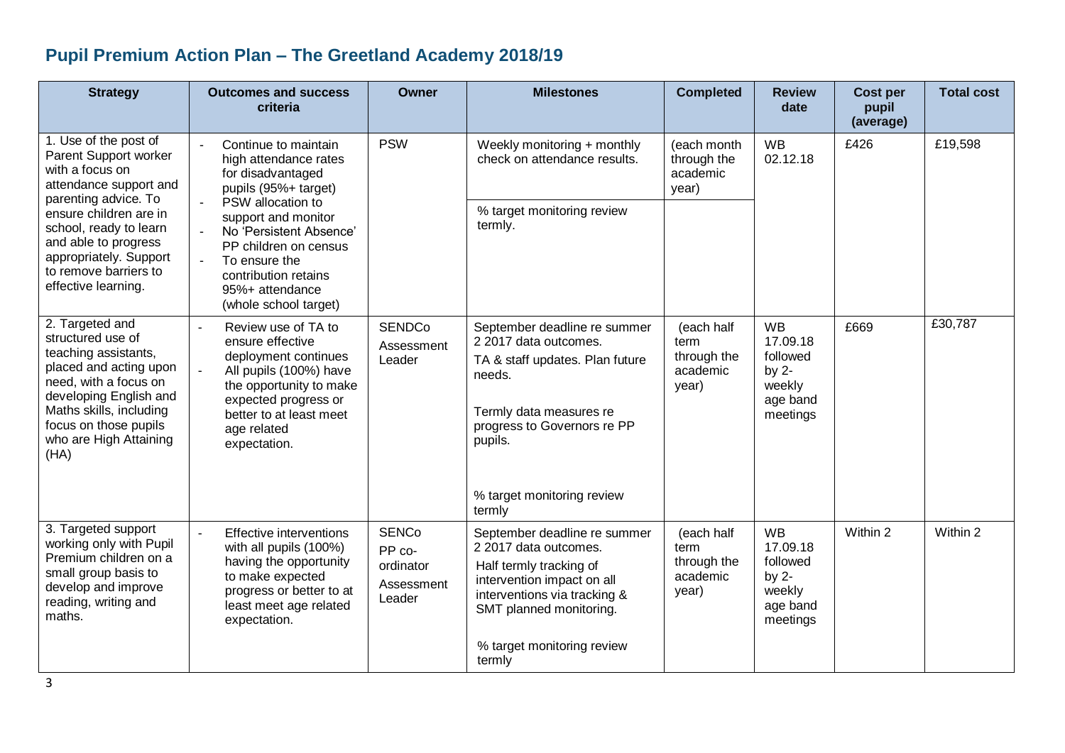## **Pupil Premium Action Plan – The Greetland Academy 2018/19**

| <b>Strategy</b>                                                                                                                                                                                                                 | <b>Outcomes and success</b><br>criteria                                                                                                                                                                                        | <b>Owner</b>                                                | <b>Milestones</b>                                                                                                                                                                                       | <b>Completed</b>                                       | <b>Review</b><br>date                                                          | <b>Cost per</b><br>pupil<br>(average) | <b>Total cost</b> |
|---------------------------------------------------------------------------------------------------------------------------------------------------------------------------------------------------------------------------------|--------------------------------------------------------------------------------------------------------------------------------------------------------------------------------------------------------------------------------|-------------------------------------------------------------|---------------------------------------------------------------------------------------------------------------------------------------------------------------------------------------------------------|--------------------------------------------------------|--------------------------------------------------------------------------------|---------------------------------------|-------------------|
| 1. Use of the post of<br>Parent Support worker<br>with a focus on<br>attendance support and<br>parenting advice. To                                                                                                             | Continue to maintain<br>$\sim$<br>high attendance rates<br>for disadvantaged<br>pupils (95%+ target)                                                                                                                           |                                                             | Weekly monitoring + monthly<br>check on attendance results.                                                                                                                                             | (each month<br>through the<br>academic<br>year)        | <b>WB</b><br>02.12.18                                                          | £426                                  | £19,598           |
| ensure children are in<br>school, ready to learn<br>and able to progress<br>appropriately. Support<br>to remove barriers to<br>effective learning.                                                                              | PSW allocation to<br>support and monitor<br>No 'Persistent Absence'<br>PP children on census<br>$\sim$<br>To ensure the<br>contribution retains<br>95%+ attendance<br>(whole school target)                                    |                                                             | % target monitoring review<br>termly.                                                                                                                                                                   |                                                        |                                                                                |                                       |                   |
| 2. Targeted and<br>structured use of<br>teaching assistants,<br>placed and acting upon<br>need, with a focus on<br>developing English and<br>Maths skills, including<br>focus on those pupils<br>who are High Attaining<br>(HA) | Review use of TA to<br>$\overline{a}$<br>ensure effective<br>deployment continues<br>ä,<br>All pupils (100%) have<br>the opportunity to make<br>expected progress or<br>better to at least meet<br>age related<br>expectation. | <b>SENDCo</b><br>Assessment<br>Leader                       | September deadline re summer<br>2 2017 data outcomes.<br>TA & staff updates. Plan future<br>needs.<br>Termly data measures re<br>progress to Governors re PP<br>pupils.                                 | (each half<br>term<br>through the<br>academic<br>year) | <b>WB</b><br>17.09.18<br>followed<br>by $2-$<br>weekly<br>age band<br>meetings | £669                                  | £30,787           |
|                                                                                                                                                                                                                                 |                                                                                                                                                                                                                                |                                                             | % target monitoring review<br>termly                                                                                                                                                                    |                                                        |                                                                                |                                       |                   |
| 3. Targeted support<br>working only with Pupil<br>Premium children on a<br>small group basis to<br>develop and improve<br>reading, writing and<br>maths.                                                                        | Effective interventions<br>$\mathbf{u}$<br>with all pupils (100%)<br>having the opportunity<br>to make expected<br>progress or better to at<br>least meet age related<br>expectation.                                          | <b>SENCo</b><br>PP co-<br>ordinator<br>Assessment<br>Leader | September deadline re summer<br>2 2017 data outcomes.<br>Half termly tracking of<br>intervention impact on all<br>interventions via tracking &<br>SMT planned monitoring.<br>% target monitoring review | (each half<br>term<br>through the<br>academic<br>year) | <b>WB</b><br>17.09.18<br>followed<br>by $2-$<br>weekly<br>age band<br>meetings | Within 2                              | Within 2          |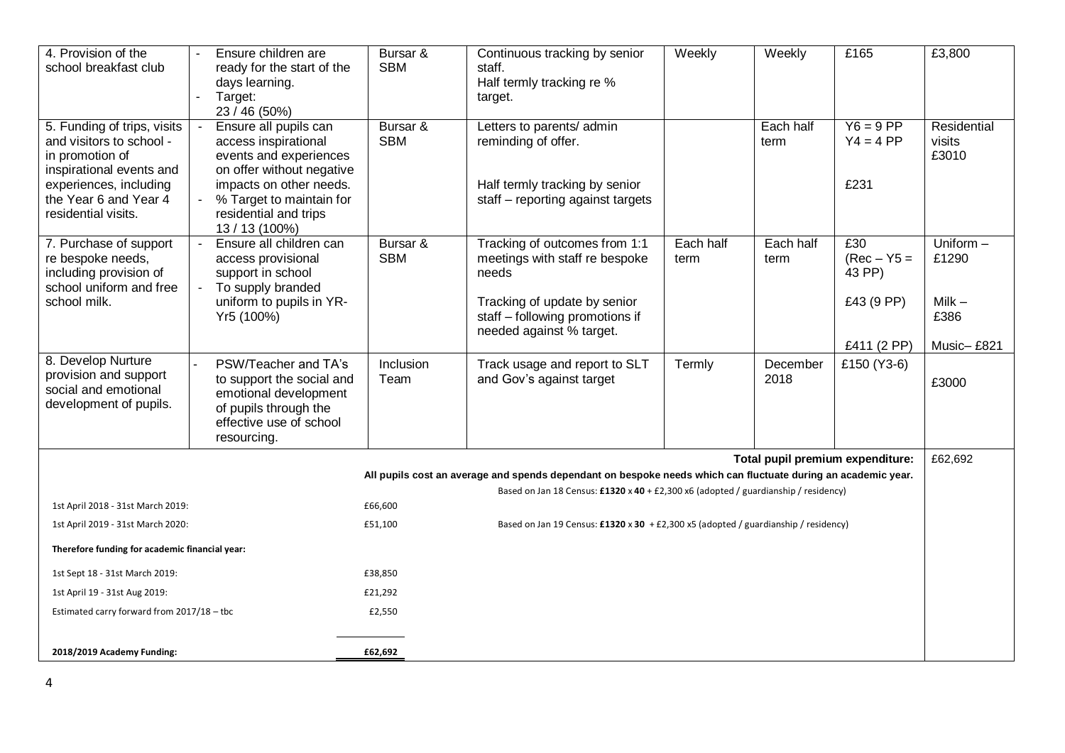| 4. Provision of the<br>school breakfast club                                                                                                              | Ensure children are<br>$\mathcal{L}_{\mathcal{A}}$<br>ready for the start of the<br>days learning.<br>Target:<br>$\overline{\phantom{a}}$<br>23 / 46 (50%)                                 | Bursar &<br><b>SBM</b> | Continuous tracking by senior<br>staff.<br>Half termly tracking re %<br>target.                                         | Weekly            | Weekly            | £165                                         | £3,800                           |
|-----------------------------------------------------------------------------------------------------------------------------------------------------------|--------------------------------------------------------------------------------------------------------------------------------------------------------------------------------------------|------------------------|-------------------------------------------------------------------------------------------------------------------------|-------------------|-------------------|----------------------------------------------|----------------------------------|
| 5. Funding of trips, visits<br>and visitors to school -<br>in promotion of<br>inspirational events and<br>experiences, including<br>the Year 6 and Year 4 | Ensure all pupils can<br>$\mathcal{L}_{\mathcal{A}}$<br>access inspirational<br>events and experiences<br>on offer without negative<br>impacts on other needs.<br>% Target to maintain for | Bursar &<br><b>SBM</b> | Letters to parents/ admin<br>reminding of offer.<br>Half termly tracking by senior<br>staff - reporting against targets |                   | Each half<br>term | $Y6 = 9 PP$<br>$Y4 = 4 PP$<br>£231           | Residential<br>visits<br>£3010   |
| residential visits.                                                                                                                                       | residential and trips<br>13 / 13 (100%)                                                                                                                                                    |                        |                                                                                                                         |                   |                   |                                              |                                  |
| 7. Purchase of support<br>re bespoke needs,<br>including provision of<br>school uniform and free<br>school milk.                                          | Ensure all children can<br>$\sim$<br>access provisional<br>support in school<br>To supply branded<br>uniform to pupils in YR-                                                              | Bursar &<br><b>SBM</b> | Tracking of outcomes from 1:1<br>meetings with staff re bespoke<br>needs<br>Tracking of update by senior                | Each half<br>term | Each half<br>term | £30<br>$(Rec - Y5 =$<br>43 PP)<br>£43 (9 PP) | Uniform $-$<br>£1290<br>$Milk -$ |
|                                                                                                                                                           | Yr5 (100%)                                                                                                                                                                                 |                        | staff - following promotions if<br>needed against % target.                                                             |                   |                   |                                              | £386                             |
| 8. Develop Nurture                                                                                                                                        | PSW/Teacher and TA's                                                                                                                                                                       | Inclusion              |                                                                                                                         |                   |                   | £411 (2 PP)                                  | Music-£821                       |
| provision and support<br>social and emotional<br>development of pupils.                                                                                   | to support the social and<br>emotional development<br>of pupils through the<br>effective use of school<br>resourcing.                                                                      | Team                   | Track usage and report to SLT<br>and Gov's against target                                                               | Termly            | December<br>2018  | £150 (Y3-6)                                  | £3000                            |
| Total pupil premium expenditure:                                                                                                                          |                                                                                                                                                                                            |                        |                                                                                                                         |                   |                   | £62,692                                      |                                  |
|                                                                                                                                                           |                                                                                                                                                                                            |                        | All pupils cost an average and spends dependant on bespoke needs which can fluctuate during an academic year.           |                   |                   |                                              |                                  |
|                                                                                                                                                           |                                                                                                                                                                                            |                        | Based on Jan 18 Census: £1320 x 40 + £2,300 x6 (adopted / guardianship / residency)                                     |                   |                   |                                              |                                  |
| 1st April 2018 - 31st March 2019:<br>1st April 2019 - 31st March 2020:                                                                                    |                                                                                                                                                                                            | £66,600<br>£51,100     | Based on Jan 19 Census: £1320 x 30 + £2,300 x5 (adopted / guardianship / residency)                                     |                   |                   |                                              |                                  |
| Therefore funding for academic financial year:                                                                                                            |                                                                                                                                                                                            |                        |                                                                                                                         |                   |                   |                                              |                                  |
| 1st Sept 18 - 31st March 2019:                                                                                                                            |                                                                                                                                                                                            | £38,850                |                                                                                                                         |                   |                   |                                              |                                  |
| 1st April 19 - 31st Aug 2019:                                                                                                                             |                                                                                                                                                                                            | £21,292                |                                                                                                                         |                   |                   |                                              |                                  |
| Estimated carry forward from 2017/18 - tbc                                                                                                                |                                                                                                                                                                                            | £2,550                 |                                                                                                                         |                   |                   |                                              |                                  |
|                                                                                                                                                           |                                                                                                                                                                                            |                        |                                                                                                                         |                   |                   |                                              |                                  |
| 2018/2019 Academy Funding:                                                                                                                                |                                                                                                                                                                                            | £62,692                |                                                                                                                         |                   |                   |                                              |                                  |